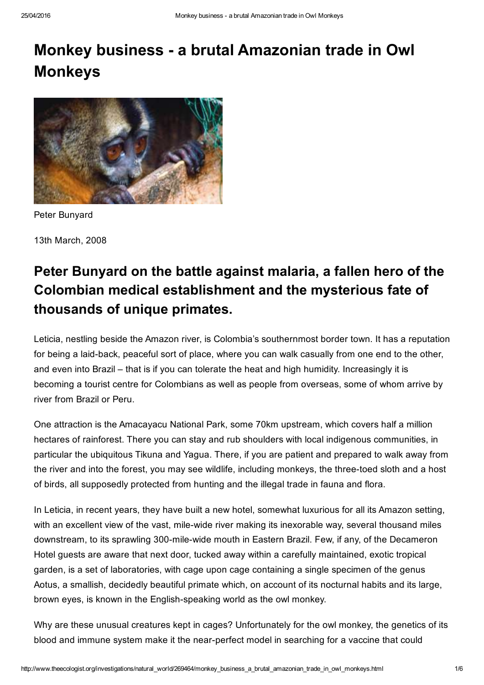# Monkey business a brutal Amazonian trade in Owl Monkeys



Peter Bunyard

13th March, 2008

# Peter Bunyard on the battle against malaria, a fallen hero of the Colombian medical establishment and the mysterious fate of thousands of unique primates.

Leticia, nestling beside the Amazon river, is Colombia's southernmost border town. It has a reputation for being a laid-back, peaceful sort of place, where you can walk casually from one end to the other, and even into Brazil – that is if you can tolerate the heat and high humidity. Increasingly it is becoming a tourist centre for Colombians as well as people from overseas, some of whom arrive by river from Brazil or Peru.

One attraction is the Amacayacu National Park, some 70km upstream, which covers half a million hectares of rainforest. There you can stay and rub shoulders with local indigenous communities, in particular the ubiquitous Tikuna and Yagua. There, if you are patient and prepared to walk away from the river and into the forest, you may see wildlife, including monkeys, the three-toed sloth and a host of birds, all supposedly protected from hunting and the illegal trade in fauna and flora.

In Leticia, in recent years, they have built a new hotel, somewhat luxurious for all its Amazon setting, with an excellent view of the vast, mile-wide river making its inexorable way, several thousand miles downstream, to its sprawling 300-mile-wide mouth in Eastern Brazil. Few, if any, of the Decameron Hotel guests are aware that next door, tucked away within a carefully maintained, exotic tropical garden, is a set of laboratories, with cage upon cage containing a single specimen of the genus Aotus, a smallish, decidedly beautiful primate which, on account of its nocturnal habits and its large, brown eyes, is known in the English-speaking world as the owl monkey.

Why are these unusual creatures kept in cages? Unfortunately for the owl monkey, the genetics of its blood and immune system make it the near-perfect model in searching for a vaccine that could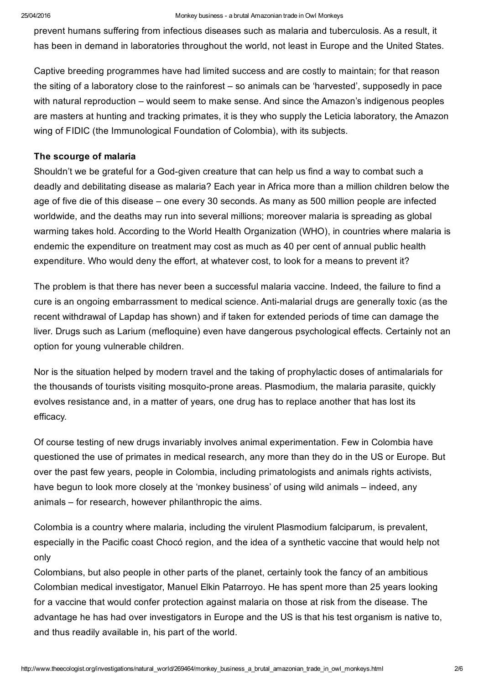prevent humans suffering from infectious diseases such as malaria and tuberculosis. As a result, it has been in demand in laboratories throughout the world, not least in Europe and the United States.

Captive breeding programmes have had limited success and are costly to maintain; for that reason the siting of a laboratory close to the rainforest – so animals can be 'harvested', supposedly in pace with natural reproduction – would seem to make sense. And since the Amazon's indigenous peoples are masters at hunting and tracking primates, it is they who supply the Leticia laboratory, the Amazon wing of FIDIC (the Immunological Foundation of Colombia), with its subjects.

## The scourge of malaria

Shouldn't we be grateful for a God-given creature that can help us find a way to combat such a deadly and debilitating disease as malaria? Each year in Africa more than a million children below the age of five die of this disease – one every 30 seconds. As many as 500 million people are infected worldwide, and the deaths may run into several millions; moreover malaria is spreading as global warming takes hold. According to the World Health Organization (WHO), in countries where malaria is endemic the expenditure on treatment may cost as much as 40 per cent of annual public health expenditure. Who would deny the effort, at whatever cost, to look for a means to prevent it?

The problem is that there has never been a successful malaria vaccine. Indeed, the failure to find a cure is an ongoing embarrassment to medical science. Anti-malarial drugs are generally toxic (as the recent withdrawal of Lapdap has shown) and if taken for extended periods of time can damage the liver. Drugs such as Larium (mefloquine) even have dangerous psychological effects. Certainly not an option for young vulnerable children.

Nor is the situation helped by modern travel and the taking of prophylactic doses of antimalarials for the thousands of tourists visiting mosquito-prone areas. Plasmodium, the malaria parasite, quickly evolves resistance and, in a matter of years, one drug has to replace another that has lost its efficacy.

Of course testing of new drugs invariably involves animal experimentation. Few in Colombia have questioned the use of primates in medical research, any more than they do in the US or Europe. But over the past few years, people in Colombia, including primatologists and animals rights activists, have begun to look more closely at the 'monkey business' of using wild animals – indeed, any animals – for research, however philanthropic the aims.

Colombia is a country where malaria, including the virulent Plasmodium falciparum, is prevalent, especially in the Pacific coast Chocó region, and the idea of a synthetic vaccine that would help not only

Colombians, but also people in other parts of the planet, certainly took the fancy of an ambitious Colombian medical investigator, Manuel Elkin Patarroyo. He has spent more than 25 years looking for a vaccine that would confer protection against malaria on those at risk from the disease. The advantage he has had over investigators in Europe and the US is that his test organism is native to, and thus readily available in, his part of the world.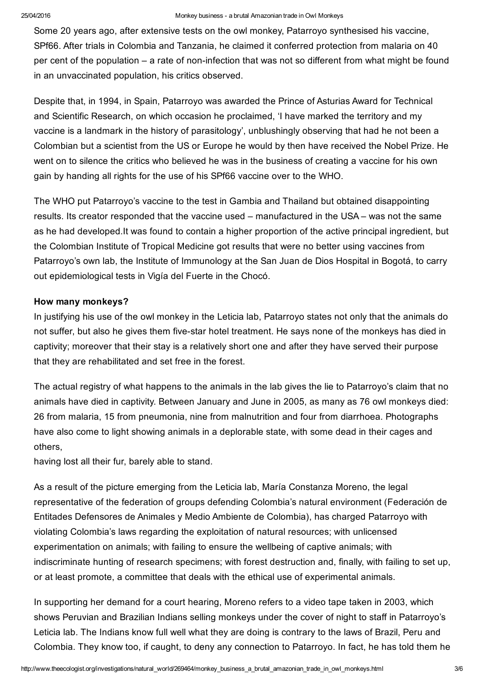Some 20 years ago, after extensive tests on the owl monkey, Patarroyo synthesised his vaccine, SPf66. After trials in Colombia and Tanzania, he claimed it conferred protection from malaria on 40 per cent of the population – a rate of non-infection that was not so different from what might be found in an unvaccinated population, his critics observed.

Despite that, in 1994, in Spain, Patarroyo was awarded the Prince of Asturias Award for Technical and Scientific Research, on which occasion he proclaimed, 'I have marked the territory and my vaccine is a landmark in the history of parasitology', unblushingly observing that had he not been a Colombian but a scientist from the US or Europe he would by then have received the Nobel Prize. He went on to silence the critics who believed he was in the business of creating a vaccine for his own gain by handing all rights for the use of his SPf66 vaccine over to the WHO.

The WHO put Patarroyo's vaccine to the test in Gambia and Thailand but obtained disappointing results. Its creator responded that the vaccine used – manufactured in the USA – was not the same as he had developed.It was found to contain a higher proportion of the active principal ingredient, but the Colombian Institute of Tropical Medicine got results that were no better using vaccines from Patarroyo's own lab, the Institute of Immunology at the San Juan de Dios Hospital in Bogotá, to carry out epidemiological tests in Vigía del Fuerte in the Chocó.

# How many monkeys?

In justifying his use of the owl monkey in the Leticia lab, Patarroyo states not only that the animals do not suffer, but also he gives them five-star hotel treatment. He says none of the monkeys has died in captivity; moreover that their stay is a relatively short one and after they have served their purpose that they are rehabilitated and set free in the forest.

The actual registry of what happens to the animals in the lab gives the lie to Patarroyo's claim that no animals have died in captivity. Between January and June in 2005, as many as 76 owl monkeys died: 26 from malaria, 15 from pneumonia, nine from malnutrition and four from diarrhoea. Photographs have also come to light showing animals in a deplorable state, with some dead in their cages and others,

having lost all their fur, barely able to stand.

As a result of the picture emerging from the Leticia lab, María Constanza Moreno, the legal representative of the federation of groups defending Colombia's natural environment (Federación de Entitades Defensores de Animales y Medio Ambiente de Colombia), has charged Patarroyo with violating Colombia's laws regarding the exploitation of natural resources; with unlicensed experimentation on animals; with failing to ensure the wellbeing of captive animals; with indiscriminate hunting of research specimens; with forest destruction and, finally, with failing to set up, or at least promote, a committee that deals with the ethical use of experimental animals.

In supporting her demand for a court hearing, Moreno refers to a video tape taken in 2003, which shows Peruvian and Brazilian Indians selling monkeys under the cover of night to staff in Patarroyo's Leticia lab. The Indians know full well what they are doing is contrary to the laws of Brazil, Peru and Colombia. They know too, if caught, to deny any connection to Patarroyo. In fact, he has told them he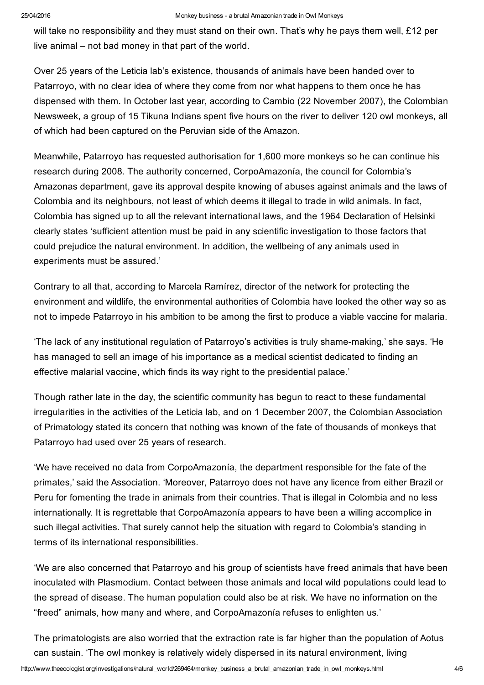will take no responsibility and they must stand on their own. That's why he pays them well, £12 per live animal – not bad money in that part of the world.

Over 25 years of the Leticia lab's existence, thousands of animals have been handed over to Patarroyo, with no clear idea of where they come from nor what happens to them once he has dispensed with them. In October last year, according to Cambio (22 November 2007), the Colombian Newsweek, a group of 15 Tikuna Indians spent five hours on the river to deliver 120 owl monkeys, all of which had been captured on the Peruvian side of the Amazon.

Meanwhile, Patarroyo has requested authorisation for 1,600 more monkeys so he can continue his research during 2008. The authority concerned, CorpoAmazonía, the council for Colombia's Amazonas department, gave its approval despite knowing of abuses against animals and the laws of Colombia and its neighbours, not least of which deems it illegal to trade in wild animals. In fact, Colombia has signed up to all the relevant international laws, and the 1964 Declaration of Helsinki clearly states 'sufficient attention must be paid in any scientific investigation to those factors that could prejudice the natural environment. In addition, the wellbeing of any animals used in experiments must be assured.'

Contrary to all that, according to Marcela Ramírez, director of the network for protecting the environment and wildlife, the environmental authorities of Colombia have looked the other way so as not to impede Patarroyo in his ambition to be among the first to produce a viable vaccine for malaria.

'The lack of any institutional regulation of Patarroyo's activities is truly shamemaking,' she says. 'He has managed to sell an image of his importance as a medical scientist dedicated to finding an effective malarial vaccine, which finds its way right to the presidential palace.'

Though rather late in the day, the scientific community has begun to react to these fundamental irregularities in the activities of the Leticia lab, and on 1 December 2007, the Colombian Association of Primatology stated its concern that nothing was known of the fate of thousands of monkeys that Patarroyo had used over 25 years of research.

'We have received no data from CorpoAmazonía, the department responsible for the fate of the primates,' said the Association. 'Moreover, Patarroyo does not have any licence from either Brazil or Peru for fomenting the trade in animals from their countries. That is illegal in Colombia and no less internationally. It is regrettable that CorpoAmazonía appears to have been a willing accomplice in such illegal activities. That surely cannot help the situation with regard to Colombia's standing in terms of its international responsibilities.

'We are also concerned that Patarroyo and his group of scientists have freed animals that have been inoculated with Plasmodium. Contact between those animals and local wild populations could lead to the spread of disease. The human population could also be at risk. We have no information on the "freed" animals, how many and where, and CorpoAmazonía refuses to enlighten us.'

The primatologists are also worried that the extraction rate is far higher than the population of Aotus can sustain. 'The owl monkey is relatively widely dispersed in its natural environment, living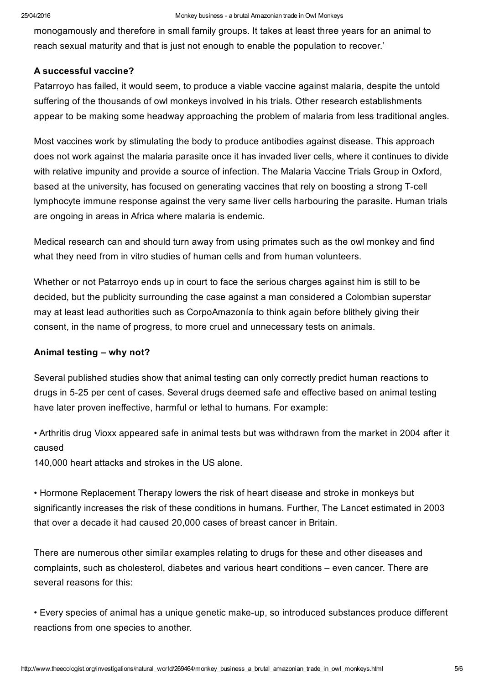monogamously and therefore in small family groups. It takes at least three years for an animal to reach sexual maturity and that is just not enough to enable the population to recover.'

### A successful vaccine?

Patarroyo has failed, it would seem, to produce a viable vaccine against malaria, despite the untold suffering of the thousands of owl monkeys involved in his trials. Other research establishments appear to be making some headway approaching the problem of malaria from less traditional angles.

Most vaccines work by stimulating the body to produce antibodies against disease. This approach does not work against the malaria parasite once it has invaded liver cells, where it continues to divide with relative impunity and provide a source of infection. The Malaria Vaccine Trials Group in Oxford, based at the university, has focused on generating vaccines that rely on boosting a strong T-cell lymphocyte immune response against the very same liver cells harbouring the parasite. Human trials are ongoing in areas in Africa where malaria is endemic.

Medical research can and should turn away from using primates such as the owl monkey and find what they need from in vitro studies of human cells and from human volunteers.

Whether or not Patarroyo ends up in court to face the serious charges against him is still to be decided, but the publicity surrounding the case against a man considered a Colombian superstar may at least lead authorities such as CorpoAmazonía to think again before blithely giving their consent, in the name of progress, to more cruel and unnecessary tests on animals.

#### Animal testing – why not?

Several published studies show that animal testing can only correctly predict human reactions to drugs in 525 per cent of cases. Several drugs deemed safe and effective based on animal testing have later proven ineffective, harmful or lethal to humans. For example:

• Arthritis drug Vioxx appeared safe in animal tests but was withdrawn from the market in 2004 after it caused

140,000 heart attacks and strokes in the US alone.

• Hormone Replacement Therapy lowers the risk of heart disease and stroke in monkeys but significantly increases the risk of these conditions in humans. Further, The Lancet estimated in 2003 that over a decade it had caused 20,000 cases of breast cancer in Britain.

There are numerous other similar examples relating to drugs for these and other diseases and complaints, such as cholesterol, diabetes and various heart conditions – even cancer. There are several reasons for this:

• Every species of animal has a unique genetic make-up, so introduced substances produce different reactions from one species to another.